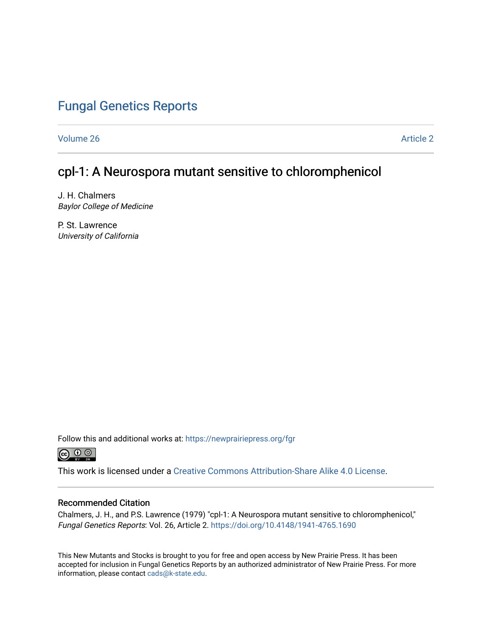# [Fungal Genetics Reports](https://newprairiepress.org/fgr)

[Volume 26](https://newprairiepress.org/fgr/vol26) Article 2

## cpl-1: A Neurospora mutant sensitive to chloromphenicol

J. H. Chalmers Baylor College of Medicine

P. St. Lawrence University of California

Follow this and additional works at: [https://newprairiepress.org/fgr](https://newprairiepress.org/fgr?utm_source=newprairiepress.org%2Ffgr%2Fvol26%2Fiss1%2F2&utm_medium=PDF&utm_campaign=PDFCoverPages) 



This work is licensed under a [Creative Commons Attribution-Share Alike 4.0 License.](https://creativecommons.org/licenses/by-sa/4.0/)

#### Recommended Citation

Chalmers, J. H., and P.S. Lawrence (1979) "cpl-1: A Neurospora mutant sensitive to chloromphenicol," Fungal Genetics Reports: Vol. 26, Article 2. <https://doi.org/10.4148/1941-4765.1690>

This New Mutants and Stocks is brought to you for free and open access by New Prairie Press. It has been accepted for inclusion in Fungal Genetics Reports by an authorized administrator of New Prairie Press. For more information, please contact [cads@k-state.edu](mailto:cads@k-state.edu).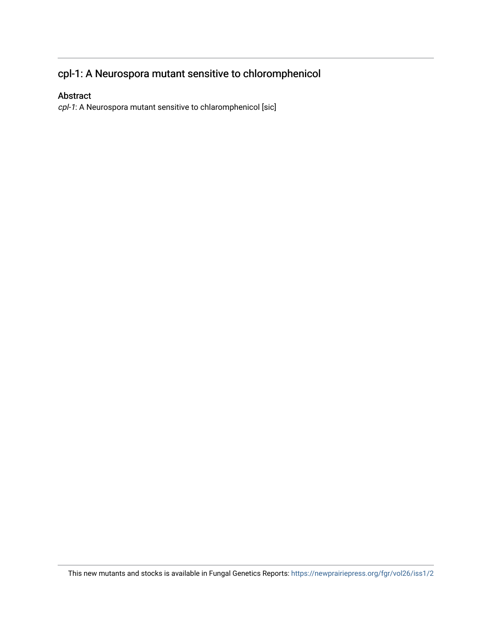# cpl-1: A Neurospora mutant sensitive to chloromphenicol

### Abstract

cpl-1: A Neurospora mutant sensitive to chlaromphenicol [sic]

This new mutants and stocks is available in Fungal Genetics Reports: <https://newprairiepress.org/fgr/vol26/iss1/2>